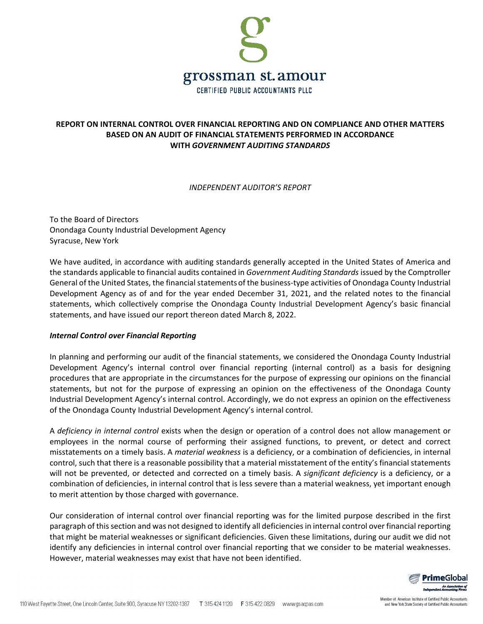

# **REPORT ON INTERNAL CONTROL OVER FINANCIAL REPORTING AND ON COMPLIANCE AND OTHER MATTERS BASED ON AN AUDIT OF FINANCIAL STATEMENTS PERFORMED IN ACCORDANCE WITH** *GOVERNMENT AUDITING STANDARDS*

### *INDEPENDENT AUDITOR'S REPORT*

To the Board of Directors Onondaga County Industrial Development Agency Syracuse, New York

We have audited, in accordance with auditing standards generally accepted in the United States of America and the standards applicable to financial audits contained in *Government Auditing Standards* issued by the Comptroller General of the United States, the financial statements of the business-type activities of Onondaga County Industrial Development Agency as of and for the year ended December 31, 2021, and the related notes to the financial statements, which collectively comprise the Onondaga County Industrial Development Agency's basic financial statements, and have issued our report thereon dated March 8, 2022.

## *Internal Control over Financial Reporting*

In planning and performing our audit of the financial statements, we considered the Onondaga County Industrial Development Agency's internal control over financial reporting (internal control) as a basis for designing procedures that are appropriate in the circumstances for the purpose of expressing our opinions on the financial statements, but not for the purpose of expressing an opinion on the effectiveness of the Onondaga County Industrial Development Agency's internal control. Accordingly, we do not express an opinion on the effectiveness of the Onondaga County Industrial Development Agency's internal control.

A *deficiency in internal control* exists when the design or operation of a control does not allow management or employees in the normal course of performing their assigned functions, to prevent, or detect and correct misstatements on a timely basis. A *material weakness* is a deficiency, or a combination of deficiencies, in internal control, such that there is a reasonable possibility that a material misstatement of the entity's financial statements will not be prevented, or detected and corrected on a timely basis. A *significant deficiency* is a deficiency, or a combination of deficiencies, in internal control that is less severe than a material weakness, yet important enough to merit attention by those charged with governance.

Our consideration of internal control over financial reporting was for the limited purpose described in the first paragraph of thissection and was not designed to identify all deficienciesin internal control over financial reporting that might be material weaknesses or significant deficiencies. Given these limitations, during our audit we did not identify any deficiencies in internal control over financial reporting that we consider to be material weaknesses. However, material weaknesses may exist that have not been identified.